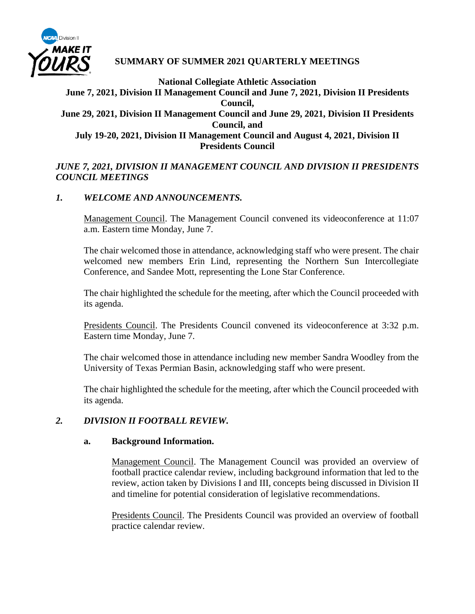

# **SUMMARY OF SUMMER 2021 QUARTERLY MEETINGS**

# **National Collegiate Athletic Association June 7, 2021, Division II Management Council and June 7, 2021, Division II Presidents Council, June 29, 2021, Division II Management Council and June 29, 2021, Division II Presidents Council, and July 19-20, 2021, Division II Management Council and August 4, 2021, Division II Presidents Council**

# *JUNE 7, 2021, DIVISION II MANAGEMENT COUNCIL AND DIVISION II PRESIDENTS COUNCIL MEETINGS*

# *1. WELCOME AND ANNOUNCEMENTS.*

Management Council. The Management Council convened its videoconference at 11:07 a.m. Eastern time Monday, June 7.

The chair welcomed those in attendance, acknowledging staff who were present. The chair welcomed new members Erin Lind, representing the Northern Sun Intercollegiate Conference, and Sandee Mott, representing the Lone Star Conference.

The chair highlighted the schedule for the meeting, after which the Council proceeded with its agenda.

Presidents Council. The Presidents Council convened its videoconference at 3:32 p.m. Eastern time Monday, June 7.

The chair welcomed those in attendance including new member Sandra Woodley from the University of Texas Permian Basin, acknowledging staff who were present.

The chair highlighted the schedule for the meeting, after which the Council proceeded with its agenda.

#### *2. DIVISION II FOOTBALL REVIEW.*

#### **a. Background Information.**

Management Council. The Management Council was provided an overview of football practice calendar review, including background information that led to the review, action taken by Divisions I and III, concepts being discussed in Division II and timeline for potential consideration of legislative recommendations.

Presidents Council. The Presidents Council was provided an overview of football practice calendar review.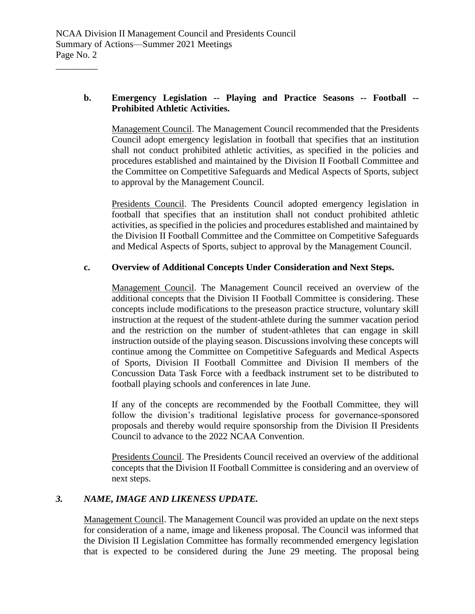# **b. Emergency Legislation -- Playing and Practice Seasons -- Football -- Prohibited Athletic Activities.**

Management Council. The Management Council recommended that the Presidents Council adopt emergency legislation in football that specifies that an institution shall not conduct prohibited athletic activities, as specified in the policies and procedures established and maintained by the Division II Football Committee and the Committee on Competitive Safeguards and Medical Aspects of Sports, subject to approval by the Management Council.

Presidents Council. The Presidents Council adopted emergency legislation in football that specifies that an institution shall not conduct prohibited athletic activities, as specified in the policies and procedures established and maintained by the Division II Football Committee and the Committee on Competitive Safeguards and Medical Aspects of Sports, subject to approval by the Management Council.

# **c. Overview of Additional Concepts Under Consideration and Next Steps.**

Management Council. The Management Council received an overview of the additional concepts that the Division II Football Committee is considering. These concepts include modifications to the preseason practice structure, voluntary skill instruction at the request of the student-athlete during the summer vacation period and the restriction on the number of student-athletes that can engage in skill instruction outside of the playing season. Discussions involving these concepts will continue among the Committee on Competitive Safeguards and Medical Aspects of Sports, Division II Football Committee and Division II members of the Concussion Data Task Force with a feedback instrument set to be distributed to football playing schools and conferences in late June.

If any of the concepts are recommended by the Football Committee, they will follow the division's traditional legislative process for governance-sponsored proposals and thereby would require sponsorship from the Division II Presidents Council to advance to the 2022 NCAA Convention.

Presidents Council. The Presidents Council received an overview of the additional concepts that the Division II Football Committee is considering and an overview of next steps.

# *3. NAME, IMAGE AND LIKENESS UPDATE.*

Management Council. The Management Council was provided an update on the next steps for consideration of a name, image and likeness proposal. The Council was informed that the Division II Legislation Committee has formally recommended emergency legislation that is expected to be considered during the June 29 meeting. The proposal being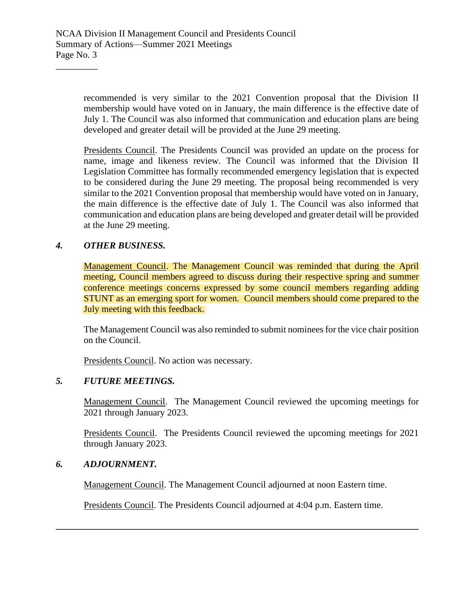recommended is very similar to the 2021 Convention proposal that the Division II membership would have voted on in January, the main difference is the effective date of July 1. The Council was also informed that communication and education plans are being developed and greater detail will be provided at the June 29 meeting.

Presidents Council. The Presidents Council was provided an update on the process for name, image and likeness review. The Council was informed that the Division II Legislation Committee has formally recommended emergency legislation that is expected to be considered during the June 29 meeting. The proposal being recommended is very similar to the 2021 Convention proposal that membership would have voted on in January, the main difference is the effective date of July 1. The Council was also informed that communication and education plans are being developed and greater detail will be provided at the June 29 meeting.

# *4. OTHER BUSINESS.*

\_\_\_\_\_\_\_\_\_

Management Council. The Management Council was reminded that during the April meeting, Council members agreed to discuss during their respective spring and summer conference meetings concerns expressed by some council members regarding adding STUNT as an emerging sport for women. Council members should come prepared to the July meeting with this feedback.

The Management Council was also reminded to submit nominees for the vice chair position on the Council.

Presidents Council. No action was necessary.

## *5. FUTURE MEETINGS.*

Management Council. The Management Council reviewed the upcoming meetings for 2021 through January 2023.

Presidents Council. The Presidents Council reviewed the upcoming meetings for 2021 through January 2023.

#### *6. ADJOURNMENT.*

Management Council. The Management Council adjourned at noon Eastern time.

Presidents Council. The Presidents Council adjourned at 4:04 p.m. Eastern time.

**\_\_\_\_\_\_\_\_\_\_\_\_\_\_\_\_\_\_\_\_\_\_\_\_\_\_\_\_\_\_\_\_\_\_\_\_\_\_\_\_\_\_\_\_\_\_\_\_\_\_\_\_\_\_\_\_\_\_\_\_\_\_\_\_\_\_\_\_\_\_\_\_\_\_\_\_\_\_**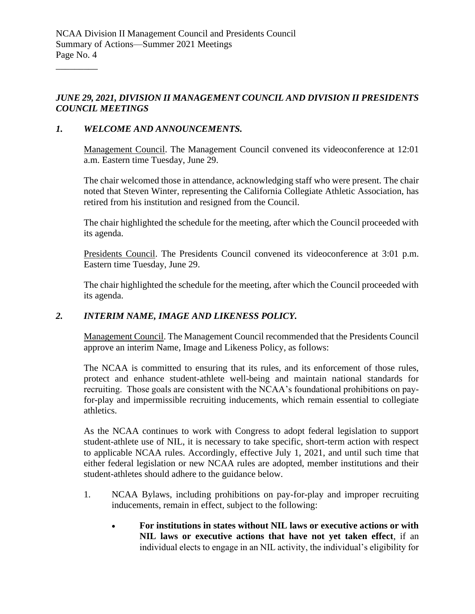*JUNE 29, 2021, DIVISION II MANAGEMENT COUNCIL AND DIVISION II PRESIDENTS COUNCIL MEETINGS*

## *1. WELCOME AND ANNOUNCEMENTS.*

\_\_\_\_\_\_\_\_\_

Management Council. The Management Council convened its videoconference at 12:01 a.m. Eastern time Tuesday, June 29.

The chair welcomed those in attendance, acknowledging staff who were present. The chair noted that Steven Winter, representing the California Collegiate Athletic Association, has retired from his institution and resigned from the Council.

The chair highlighted the schedule for the meeting, after which the Council proceeded with its agenda.

Presidents Council. The Presidents Council convened its videoconference at 3:01 p.m. Eastern time Tuesday, June 29.

The chair highlighted the schedule for the meeting, after which the Council proceeded with its agenda.

# *2. INTERIM NAME, IMAGE AND LIKENESS POLICY.*

Management Council. The Management Council recommended that the Presidents Council approve an interim Name, Image and Likeness Policy, as follows:

The NCAA is committed to ensuring that its rules, and its enforcement of those rules, protect and enhance student-athlete well-being and maintain national standards for recruiting. Those goals are consistent with the NCAA's foundational prohibitions on payfor-play and impermissible recruiting inducements, which remain essential to collegiate athletics.

As the NCAA continues to work with Congress to adopt federal legislation to support student-athlete use of NIL, it is necessary to take specific, short-term action with respect to applicable NCAA rules. Accordingly, effective July 1, 2021, and until such time that either federal legislation or new NCAA rules are adopted, member institutions and their student-athletes should adhere to the guidance below.

- 1. NCAA Bylaws, including prohibitions on pay-for-play and improper recruiting inducements, remain in effect, subject to the following:
	- **For institutions in states without NIL laws or executive actions or with NIL laws or executive actions that have not yet taken effect**, if an individual elects to engage in an NIL activity, the individual's eligibility for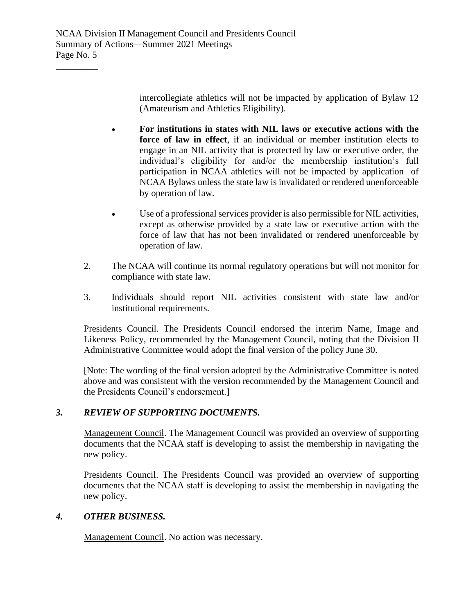intercollegiate athletics will not be impacted by application of Bylaw 12 (Amateurism and Athletics Eligibility).

- **For institutions in states with NIL laws or executive actions with the force of law in effect**, if an individual or member institution elects to engage in an NIL activity that is protected by law or executive order, the individual's eligibility for and/or the membership institution's full participation in NCAA athletics will not be impacted by application of NCAA Bylaws unless the state law is invalidated or rendered unenforceable by operation of law.
- Use of a professional services provider is also permissible for NIL activities, except as otherwise provided by a state law or executive action with the force of law that has not been invalidated or rendered unenforceable by operation of law.
- 2. The NCAA will continue its normal regulatory operations but will not monitor for compliance with state law.
- 3. Individuals should report NIL activities consistent with state law and/or institutional requirements.

Presidents Council. The Presidents Council endorsed the interim Name, Image and Likeness Policy, recommended by the Management Council, noting that the Division II Administrative Committee would adopt the final version of the policy June 30.

[Note: The wording of the final version adopted by the Administrative Committee is noted above and was consistent with the version recommended by the Management Council and the Presidents Council's endorsement.]

# *3. REVIEW OF SUPPORTING DOCUMENTS.*

Management Council. The Management Council was provided an overview of supporting documents that the NCAA staff is developing to assist the membership in navigating the new policy.

Presidents Council. The Presidents Council was provided an overview of supporting documents that the NCAA staff is developing to assist the membership in navigating the new policy.

# *4. OTHER BUSINESS.*

Management Council. No action was necessary.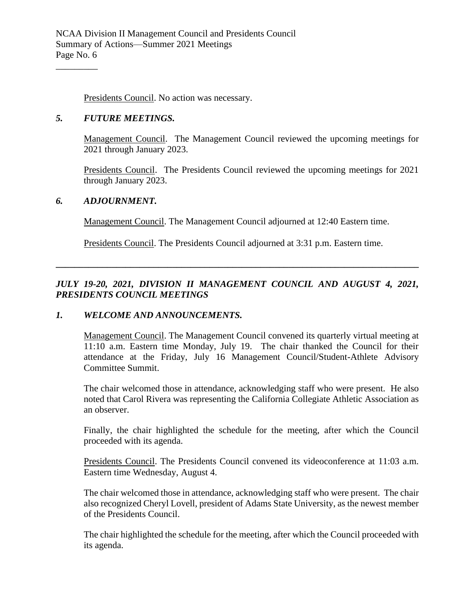Presidents Council. No action was necessary.

#### *5. FUTURE MEETINGS.*

\_\_\_\_\_\_\_\_\_

Management Council. The Management Council reviewed the upcoming meetings for 2021 through January 2023.

Presidents Council. The Presidents Council reviewed the upcoming meetings for 2021 through January 2023.

#### *6. ADJOURNMENT.*

Management Council. The Management Council adjourned at 12:40 Eastern time.

Presidents Council. The Presidents Council adjourned at 3:31 p.m. Eastern time.

*JULY 19-20, 2021, DIVISION II MANAGEMENT COUNCIL AND AUGUST 4, 2021, PRESIDENTS COUNCIL MEETINGS*

**\_\_\_\_\_\_\_\_\_\_\_\_\_\_\_\_\_\_\_\_\_\_\_\_\_\_\_\_\_\_\_\_\_\_\_\_\_\_\_\_\_\_\_\_\_\_\_\_\_\_\_\_\_\_\_\_\_\_\_\_\_\_\_\_\_\_\_\_\_\_\_\_\_\_\_\_\_\_**

#### *1. WELCOME AND ANNOUNCEMENTS.*

Management Council. The Management Council convened its quarterly virtual meeting at 11:10 a.m. Eastern time Monday, July 19. The chair thanked the Council for their attendance at the Friday, July 16 Management Council/Student-Athlete Advisory Committee Summit.

The chair welcomed those in attendance, acknowledging staff who were present. He also noted that Carol Rivera was representing the California Collegiate Athletic Association as an observer.

Finally, the chair highlighted the schedule for the meeting, after which the Council proceeded with its agenda.

Presidents Council. The Presidents Council convened its videoconference at 11:03 a.m. Eastern time Wednesday, August 4.

The chair welcomed those in attendance, acknowledging staff who were present. The chair also recognized Cheryl Lovell, president of Adams State University, as the newest member of the Presidents Council.

The chair highlighted the schedule for the meeting, after which the Council proceeded with its agenda.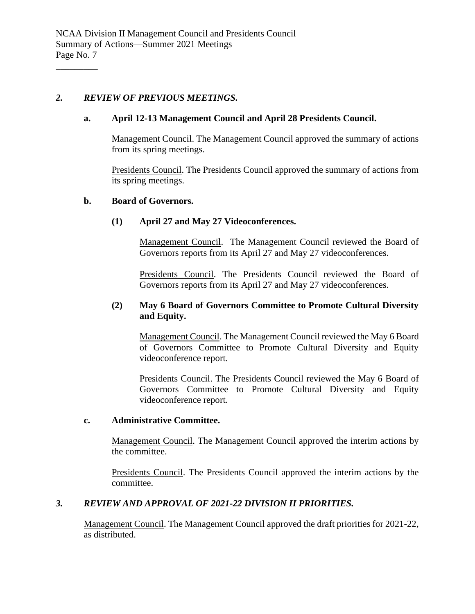#### *2. REVIEW OF PREVIOUS MEETINGS.*

\_\_\_\_\_\_\_\_\_

#### **a. April 12-13 Management Council and April 28 Presidents Council.**

Management Council. The Management Council approved the summary of actions from its spring meetings.

Presidents Council. The Presidents Council approved the summary of actions from its spring meetings.

#### **b. Board of Governors.**

#### **(1) April 27 and May 27 Videoconferences.**

Management Council. The Management Council reviewed the Board of Governors reports from its April 27 and May 27 videoconferences.

Presidents Council. The Presidents Council reviewed the Board of Governors reports from its April 27 and May 27 videoconferences.

#### **(2) May 6 Board of Governors Committee to Promote Cultural Diversity and Equity.**

Management Council. The Management Council reviewed the May 6 Board of Governors Committee to Promote Cultural Diversity and Equity videoconference report.

Presidents Council. The Presidents Council reviewed the May 6 Board of Governors Committee to Promote Cultural Diversity and Equity videoconference report.

#### **c. Administrative Committee.**

Management Council. The Management Council approved the interim actions by the committee.

Presidents Council. The Presidents Council approved the interim actions by the committee.

#### *3. REVIEW AND APPROVAL OF 2021-22 DIVISION II PRIORITIES.*

Management Council. The Management Council approved the draft priorities for 2021-22, as distributed.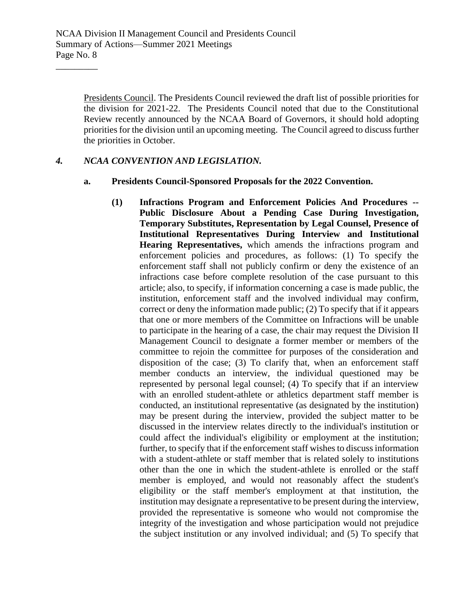Presidents Council. The Presidents Council reviewed the draft list of possible priorities for the division for 2021-22. The Presidents Council noted that due to the Constitutional Review recently announced by the NCAA Board of Governors, it should hold adopting priorities for the division until an upcoming meeting. The Council agreed to discuss further the priorities in October.

#### *4. NCAA CONVENTION AND LEGISLATION.*

\_\_\_\_\_\_\_\_\_

- **a. Presidents Council-Sponsored Proposals for the 2022 Convention.**
	- **(1) Infractions Program and Enforcement Policies And Procedures -- Public Disclosure About a Pending Case During Investigation, Temporary Substitutes, Representation by Legal Counsel, Presence of Institutional Representatives During Interview and Institutional Hearing Representatives,** which amends the infractions program and enforcement policies and procedures, as follows: (1) To specify the enforcement staff shall not publicly confirm or deny the existence of an infractions case before complete resolution of the case pursuant to this article; also, to specify, if information concerning a case is made public, the institution, enforcement staff and the involved individual may confirm, correct or deny the information made public; (2) To specify that if it appears that one or more members of the Committee on Infractions will be unable to participate in the hearing of a case, the chair may request the Division II Management Council to designate a former member or members of the committee to rejoin the committee for purposes of the consideration and disposition of the case; (3) To clarify that, when an enforcement staff member conducts an interview, the individual questioned may be represented by personal legal counsel; (4) To specify that if an interview with an enrolled student-athlete or athletics department staff member is conducted, an institutional representative (as designated by the institution) may be present during the interview, provided the subject matter to be discussed in the interview relates directly to the individual's institution or could affect the individual's eligibility or employment at the institution; further, to specify that if the enforcement staff wishes to discuss information with a student-athlete or staff member that is related solely to institutions other than the one in which the student-athlete is enrolled or the staff member is employed, and would not reasonably affect the student's eligibility or the staff member's employment at that institution, the institution may designate a representative to be present during the interview, provided the representative is someone who would not compromise the integrity of the investigation and whose participation would not prejudice the subject institution or any involved individual; and (5) To specify that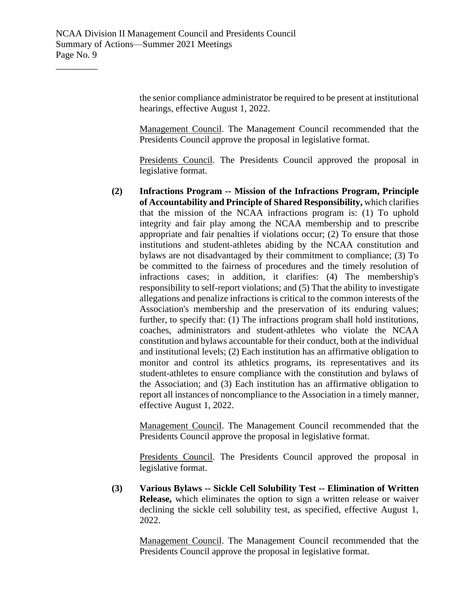the senior compliance administrator be required to be present at institutional hearings, effective August 1, 2022.

Management Council. The Management Council recommended that the Presidents Council approve the proposal in legislative format.

Presidents Council. The Presidents Council approved the proposal in legislative format.

**(2) Infractions Program -- Mission of the Infractions Program, Principle of Accountability and Principle of Shared Responsibility,** which clarifies that the mission of the NCAA infractions program is: (1) To uphold integrity and fair play among the NCAA membership and to prescribe appropriate and fair penalties if violations occur; (2) To ensure that those institutions and student-athletes abiding by the NCAA constitution and bylaws are not disadvantaged by their commitment to compliance; (3) To be committed to the fairness of procedures and the timely resolution of infractions cases; in addition, it clarifies: (4) The membership's responsibility to self-report violations; and (5) That the ability to investigate allegations and penalize infractions is critical to the common interests of the Association's membership and the preservation of its enduring values; further, to specify that: (1) The infractions program shall hold institutions, coaches, administrators and student-athletes who violate the NCAA constitution and bylaws accountable for their conduct, both at the individual and institutional levels; (2) Each institution has an affirmative obligation to monitor and control its athletics programs, its representatives and its student-athletes to ensure compliance with the constitution and bylaws of the Association; and (3) Each institution has an affirmative obligation to report all instances of noncompliance to the Association in a timely manner, effective August 1, 2022.

Management Council. The Management Council recommended that the Presidents Council approve the proposal in legislative format.

Presidents Council. The Presidents Council approved the proposal in legislative format.

**(3) Various Bylaws -- Sickle Cell Solubility Test -- Elimination of Written Release,** which eliminates the option to sign a written release or waiver declining the sickle cell solubility test, as specified, effective August 1, 2022.

Management Council. The Management Council recommended that the Presidents Council approve the proposal in legislative format.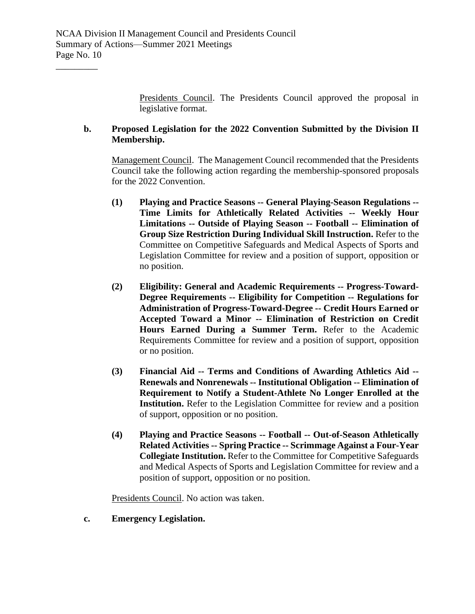Presidents Council. The Presidents Council approved the proposal in legislative format.

# **b. Proposed Legislation for the 2022 Convention Submitted by the Division II Membership.**

Management Council. The Management Council recommended that the Presidents Council take the following action regarding the membership-sponsored proposals for the 2022 Convention.

- **(1) Playing and Practice Seasons -- General Playing-Season Regulations -- Time Limits for Athletically Related Activities -- Weekly Hour Limitations -- Outside of Playing Season -- Football -- Elimination of Group Size Restriction During Individual Skill Instruction.** Refer to the Committee on Competitive Safeguards and Medical Aspects of Sports and Legislation Committee for review and a position of support, opposition or no position.
- **(2) Eligibility: General and Academic Requirements -- Progress-Toward-Degree Requirements -- Eligibility for Competition -- Regulations for Administration of Progress-Toward-Degree -- Credit Hours Earned or Accepted Toward a Minor -- Elimination of Restriction on Credit Hours Earned During a Summer Term.** Refer to the Academic Requirements Committee for review and a position of support, opposition or no position.
- **(3) Financial Aid -- Terms and Conditions of Awarding Athletics Aid -- Renewals and Nonrenewals -- Institutional Obligation -- Elimination of Requirement to Notify a Student-Athlete No Longer Enrolled at the Institution.** Refer to the Legislation Committee for review and a position of support, opposition or no position.
- **(4) Playing and Practice Seasons -- Football -- Out-of-Season Athletically Related Activities -- Spring Practice -- Scrimmage Against a Four-Year Collegiate Institution.** Refer to the Committee for Competitive Safeguards and Medical Aspects of Sports and Legislation Committee for review and a position of support, opposition or no position.

Presidents Council. No action was taken.

**c. Emergency Legislation.**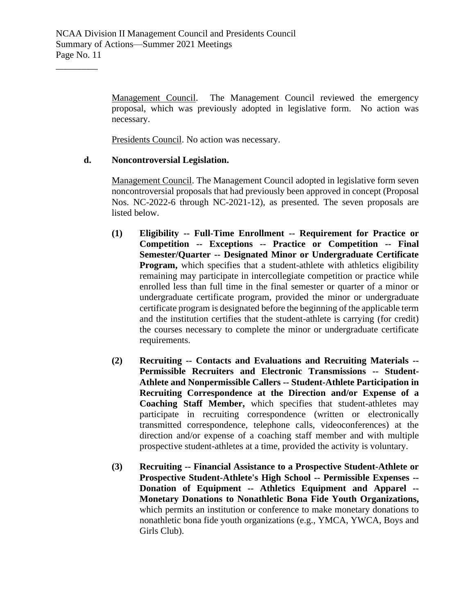Management Council. The Management Council reviewed the emergency proposal, which was previously adopted in legislative form. No action was necessary.

Presidents Council. No action was necessary.

# **d. Noncontroversial Legislation.**

\_\_\_\_\_\_\_\_\_

Management Council. The Management Council adopted in legislative form seven noncontroversial proposals that had previously been approved in concept (Proposal Nos. NC-2022-6 through NC-2021-12), as presented. The seven proposals are listed below.

- **(1) Eligibility -- Full-Time Enrollment -- Requirement for Practice or Competition -- Exceptions -- Practice or Competition -- Final Semester/Quarter -- Designated Minor or Undergraduate Certificate Program,** which specifies that a student-athlete with athletics eligibility remaining may participate in intercollegiate competition or practice while enrolled less than full time in the final semester or quarter of a minor or undergraduate certificate program, provided the minor or undergraduate certificate program is designated before the beginning of the applicable term and the institution certifies that the student-athlete is carrying (for credit) the courses necessary to complete the minor or undergraduate certificate requirements.
- **(2) Recruiting -- Contacts and Evaluations and Recruiting Materials -- Permissible Recruiters and Electronic Transmissions -- Student-Athlete and Nonpermissible Callers -- Student-Athlete Participation in Recruiting Correspondence at the Direction and/or Expense of a Coaching Staff Member,** which specifies that student-athletes may participate in recruiting correspondence (written or electronically transmitted correspondence, telephone calls, videoconferences) at the direction and/or expense of a coaching staff member and with multiple prospective student-athletes at a time, provided the activity is voluntary.
- **(3) Recruiting -- Financial Assistance to a Prospective Student-Athlete or Prospective Student-Athlete's High School -- Permissible Expenses -- Donation of Equipment -- Athletics Equipment and Apparel -- Monetary Donations to Nonathletic Bona Fide Youth Organizations,**  which permits an institution or conference to make monetary donations to nonathletic bona fide youth organizations (e.g., YMCA, YWCA, Boys and Girls Club).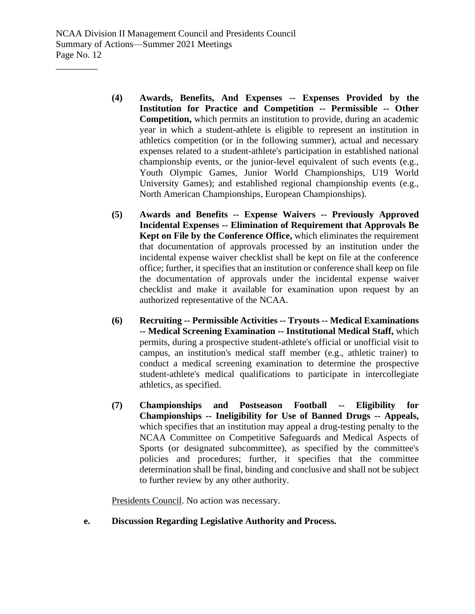- **(4) Awards, Benefits, And Expenses -- Expenses Provided by the Institution for Practice and Competition -- Permissible -- Other Competition,** which permits an institution to provide, during an academic year in which a student-athlete is eligible to represent an institution in athletics competition (or in the following summer), actual and necessary expenses related to a student-athlete's participation in established national championship events, or the junior-level equivalent of such events (e.g., Youth Olympic Games, Junior World Championships, U19 World University Games); and established regional championship events (e.g., North American Championships, European Championships).
- **(5) Awards and Benefits -- Expense Waivers -- Previously Approved Incidental Expenses -- Elimination of Requirement that Approvals Be Kept on File by the Conference Office,** which eliminates the requirement that documentation of approvals processed by an institution under the incidental expense waiver checklist shall be kept on file at the conference office; further, it specifies that an institution or conference shall keep on file the documentation of approvals under the incidental expense waiver checklist and make it available for examination upon request by an authorized representative of the NCAA.
- **(6) Recruiting -- Permissible Activities -- Tryouts -- Medical Examinations -- Medical Screening Examination -- Institutional Medical Staff,** which permits, during a prospective student-athlete's official or unofficial visit to campus, an institution's medical staff member (e.g., athletic trainer) to conduct a medical screening examination to determine the prospective student-athlete's medical qualifications to participate in intercollegiate athletics, as specified.
- **(7) Championships and Postseason Football -- Eligibility for Championships -- Ineligibility for Use of Banned Drugs -- Appeals,**  which specifies that an institution may appeal a drug-testing penalty to the NCAA Committee on Competitive Safeguards and Medical Aspects of Sports (or designated subcommittee), as specified by the committee's policies and procedures; further, it specifies that the committee determination shall be final, binding and conclusive and shall not be subject to further review by any other authority.

Presidents Council. No action was necessary.

**e. Discussion Regarding Legislative Authority and Process.**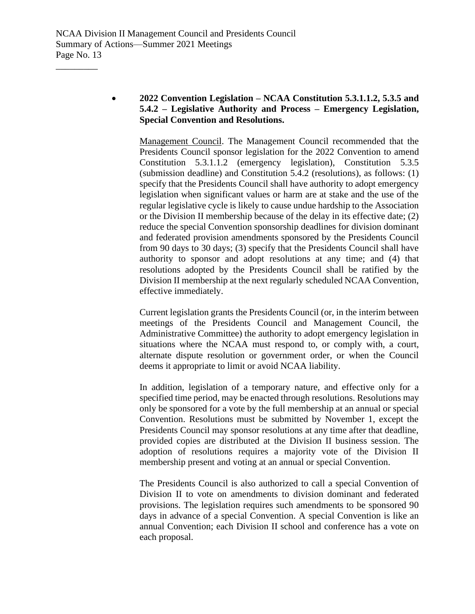# • **2022 Convention Legislation – NCAA Constitution 5.3.1.1.2, 5.3.5 and 5.4.2 – Legislative Authority and Process – Emergency Legislation, Special Convention and Resolutions.**

Management Council. The Management Council recommended that the Presidents Council sponsor legislation for the 2022 Convention to amend Constitution 5.3.1.1.2 (emergency legislation), Constitution 5.3.5 (submission deadline) and Constitution 5.4.2 (resolutions), as follows: (1) specify that the Presidents Council shall have authority to adopt emergency legislation when significant values or harm are at stake and the use of the regular legislative cycle is likely to cause undue hardship to the Association or the Division II membership because of the delay in its effective date; (2) reduce the special Convention sponsorship deadlines for division dominant and federated provision amendments sponsored by the Presidents Council from 90 days to 30 days; (3) specify that the Presidents Council shall have authority to sponsor and adopt resolutions at any time; and (4) that resolutions adopted by the Presidents Council shall be ratified by the Division II membership at the next regularly scheduled NCAA Convention, effective immediately.

Current legislation grants the Presidents Council (or, in the interim between meetings of the Presidents Council and Management Council, the Administrative Committee) the authority to adopt emergency legislation in situations where the NCAA must respond to, or comply with, a court, alternate dispute resolution or government order, or when the Council deems it appropriate to limit or avoid NCAA liability.

In addition, legislation of a temporary nature, and effective only for a specified time period, may be enacted through resolutions. Resolutions may only be sponsored for a vote by the full membership at an annual or special Convention. Resolutions must be submitted by November 1, except the Presidents Council may sponsor resolutions at any time after that deadline, provided copies are distributed at the Division II business session. The adoption of resolutions requires a majority vote of the Division II membership present and voting at an annual or special Convention.

The Presidents Council is also authorized to call a special Convention of Division II to vote on amendments to division dominant and federated provisions. The legislation requires such amendments to be sponsored 90 days in advance of a special Convention. A special Convention is like an annual Convention; each Division II school and conference has a vote on each proposal.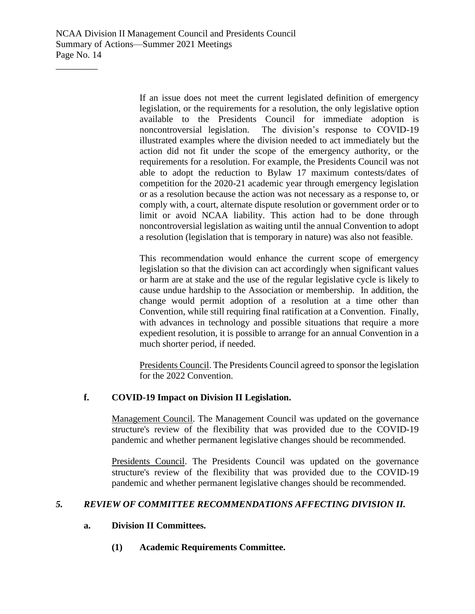\_\_\_\_\_\_\_\_\_

If an issue does not meet the current legislated definition of emergency legislation, or the requirements for a resolution, the only legislative option available to the Presidents Council for immediate adoption is noncontroversial legislation. The division's response to COVID-19 illustrated examples where the division needed to act immediately but the action did not fit under the scope of the emergency authority, or the requirements for a resolution. For example, the Presidents Council was not able to adopt the reduction to Bylaw 17 maximum contests/dates of competition for the 2020-21 academic year through emergency legislation or as a resolution because the action was not necessary as a response to, or comply with, a court, alternate dispute resolution or government order or to limit or avoid NCAA liability. This action had to be done through noncontroversial legislation as waiting until the annual Convention to adopt a resolution (legislation that is temporary in nature) was also not feasible.

This recommendation would enhance the current scope of emergency legislation so that the division can act accordingly when significant values or harm are at stake and the use of the regular legislative cycle is likely to cause undue hardship to the Association or membership. In addition, the change would permit adoption of a resolution at a time other than Convention, while still requiring final ratification at a Convention. Finally, with advances in technology and possible situations that require a more expedient resolution, it is possible to arrange for an annual Convention in a much shorter period, if needed.

Presidents Council. The Presidents Council agreed to sponsor the legislation for the 2022 Convention.

# **f. COVID-19 Impact on Division II Legislation.**

Management Council. The Management Council was updated on the governance structure's review of the flexibility that was provided due to the COVID-19 pandemic and whether permanent legislative changes should be recommended.

Presidents Council. The Presidents Council was updated on the governance structure's review of the flexibility that was provided due to the COVID-19 pandemic and whether permanent legislative changes should be recommended.

# *5. REVIEW OF COMMITTEE RECOMMENDATIONS AFFECTING DIVISION II.*

#### **a. Division II Committees.**

**(1) Academic Requirements Committee.**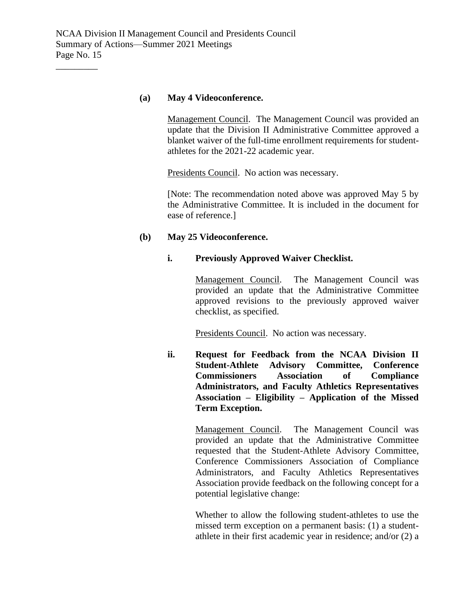#### **(a) May 4 Videoconference.**

Management Council. The Management Council was provided an update that the Division II Administrative Committee approved a blanket waiver of the full-time enrollment requirements for studentathletes for the 2021-22 academic year.

Presidents Council. No action was necessary.

[Note: The recommendation noted above was approved May 5 by the Administrative Committee. It is included in the document for ease of reference.]

#### **(b) May 25 Videoconference.**

# **i. Previously Approved Waiver Checklist.**

Management Council. The Management Council was provided an update that the Administrative Committee approved revisions to the previously approved waiver checklist, as specified.

Presidents Council. No action was necessary.

**ii. Request for Feedback from the NCAA Division II Student-Athlete Advisory Committee, Conference Commissioners Association of Compliance Administrators, and Faculty Athletics Representatives Association – Eligibility – Application of the Missed Term Exception.**

> Management Council. The Management Council was provided an update that the Administrative Committee requested that the Student-Athlete Advisory Committee, Conference Commissioners Association of Compliance Administrators, and Faculty Athletics Representatives Association provide feedback on the following concept for a potential legislative change:

> Whether to allow the following student-athletes to use the missed term exception on a permanent basis: (1) a studentathlete in their first academic year in residence; and/or (2) a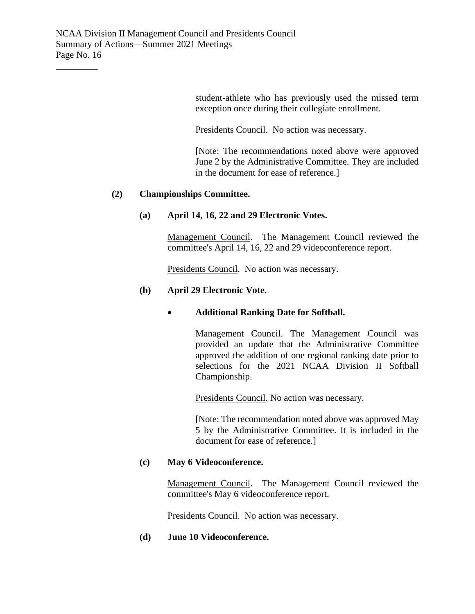student-athlete who has previously used the missed term exception once during their collegiate enrollment.

Presidents Council. No action was necessary.

[Note: The recommendations noted above were approved June 2 by the Administrative Committee. They are included in the document for ease of reference.]

# **(2) Championships Committee.**

#### **(a) April 14, 16, 22 and 29 Electronic Votes.**

Management Council. The Management Council reviewed the committee's April 14, 16, 22 and 29 videoconference report.

Presidents Council. No action was necessary.

# **(b) April 29 Electronic Vote.**

## • **Additional Ranking Date for Softball.**

Management Council. The Management Council was provided an update that the Administrative Committee approved the addition of one regional ranking date prior to selections for the 2021 NCAA Division II Softball Championship.

Presidents Council. No action was necessary.

[Note: The recommendation noted above was approved May 5 by the Administrative Committee. It is included in the document for ease of reference.]

#### **(c) May 6 Videoconference.**

Management Council. The Management Council reviewed the committee's May 6 videoconference report.

Presidents Council. No action was necessary.

#### **(d) June 10 Videoconference.**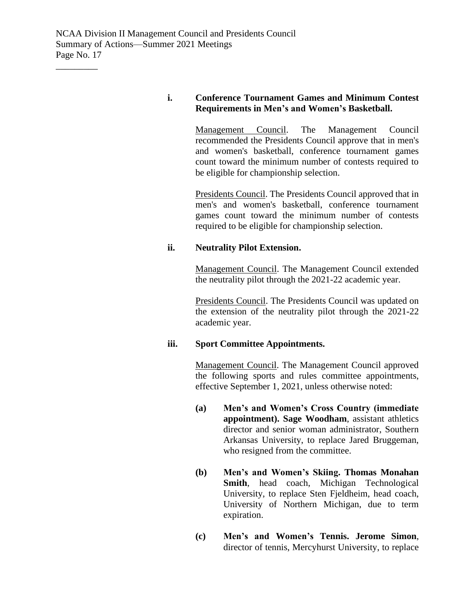# **i. Conference Tournament Games and Minimum Contest Requirements in Men's and Women's Basketball.**

Management Council. The Management Council recommended the Presidents Council approve that in men's and women's basketball, conference tournament games count toward the minimum number of contests required to be eligible for championship selection.

Presidents Council. The Presidents Council approved that in men's and women's basketball, conference tournament games count toward the minimum number of contests required to be eligible for championship selection.

# **ii. Neutrality Pilot Extension.**

Management Council. The Management Council extended the neutrality pilot through the 2021-22 academic year.

Presidents Council. The Presidents Council was updated on the extension of the neutrality pilot through the 2021-22 academic year.

#### **iii. Sport Committee Appointments.**

Management Council. The Management Council approved the following sports and rules committee appointments, effective September 1, 2021, unless otherwise noted:

- **(a) Men's and Women's Cross Country (immediate appointment). Sage Woodham**, assistant athletics director and senior woman administrator, Southern Arkansas University, to replace Jared Bruggeman, who resigned from the committee.
- **(b) Men's and Women's Skiing. Thomas Monahan Smith**, head coach, Michigan Technological University, to replace Sten Fjeldheim, head coach, University of Northern Michigan, due to term expiration.
- **(c) Men's and Women's Tennis. Jerome Simon**, director of tennis, Mercyhurst University, to replace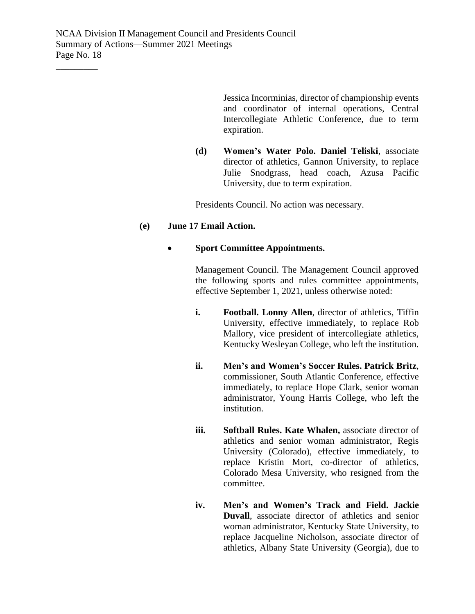Jessica Incorminias, director of championship events and coordinator of internal operations, Central Intercollegiate Athletic Conference, due to term expiration.

**(d) Women's Water Polo. Daniel Teliski**, associate director of athletics, Gannon University, to replace Julie Snodgrass, head coach, Azusa Pacific University, due to term expiration.

Presidents Council. No action was necessary.

# **(e) June 17 Email Action.**

# • **Sport Committee Appointments.**

Management Council. The Management Council approved the following sports and rules committee appointments, effective September 1, 2021, unless otherwise noted:

- **i. Football. Lonny Allen**, director of athletics, Tiffin University, effective immediately, to replace Rob Mallory, vice president of intercollegiate athletics, Kentucky Wesleyan College, who left the institution.
- **ii. Men's and Women's Soccer Rules. Patrick Britz**, commissioner, South Atlantic Conference, effective immediately, to replace Hope Clark, senior woman administrator, Young Harris College, who left the institution.
- **iii. Softball Rules. Kate Whalen,** associate director of athletics and senior woman administrator, Regis University (Colorado), effective immediately, to replace Kristin Mort, co-director of athletics, Colorado Mesa University, who resigned from the committee.
- **iv. Men's and Women's Track and Field. Jackie Duvall**, associate director of athletics and senior woman administrator, Kentucky State University, to replace Jacqueline Nicholson, associate director of athletics, Albany State University (Georgia), due to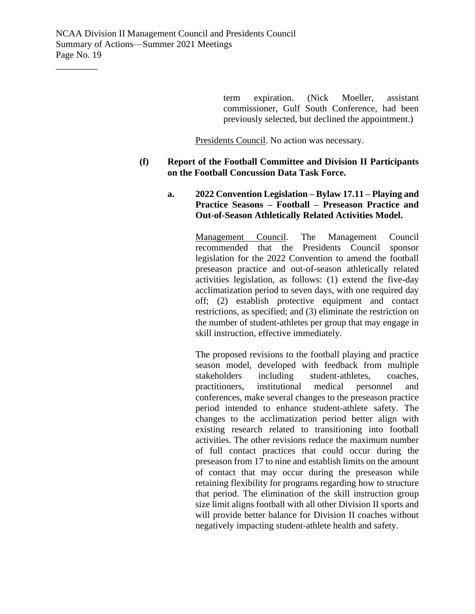term expiration. (Nick Moeller, assistant commissioner, Gulf South Conference, had been previously selected, but declined the appointment.)

Presidents Council. No action was necessary.

## **(f) Report of the Football Committee and Division II Participants on the Football Concussion Data Task Force.**

# **a. 2022 Convention Legislation – Bylaw 17.11 – Playing and Practice Seasons – Football – Preseason Practice and Out-of-Season Athletically Related Activities Model.**

Management Council. The Management Council recommended that the Presidents Council sponsor legislation for the 2022 Convention to amend the football preseason practice and out-of-season athletically related activities legislation, as follows: (1) extend the five-day acclimatization period to seven days, with one required day off; (2) establish protective equipment and contact restrictions, as specified; and (3) eliminate the restriction on the number of student-athletes per group that may engage in skill instruction, effective immediately.

The proposed revisions to the football playing and practice season model, developed with feedback from multiple stakeholders including student-athletes, coaches, practitioners, institutional medical personnel and conferences, make several changes to the preseason practice period intended to enhance student-athlete safety. The changes to the acclimatization period better align with existing research related to transitioning into football activities. The other revisions reduce the maximum number of full contact practices that could occur during the preseason from 17 to nine and establish limits on the amount of contact that may occur during the preseason while retaining flexibility for programs regarding how to structure that period. The elimination of the skill instruction group size limit aligns football with all other Division II sports and will provide better balance for Division II coaches without negatively impacting student-athlete health and safety.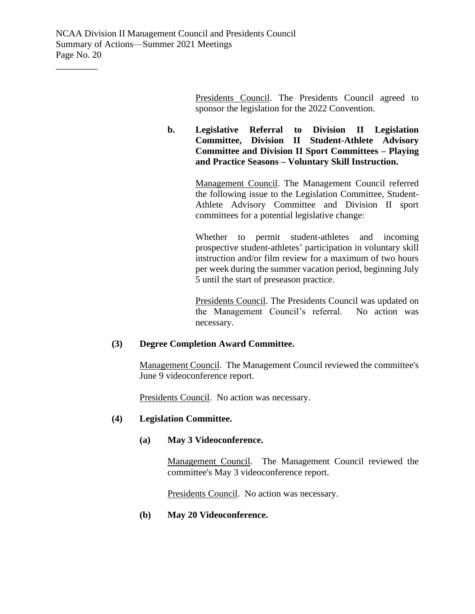Presidents Council. The Presidents Council agreed to sponsor the legislation for the 2022 Convention.

**b. Legislative Referral to Division II Legislation Committee, Division II Student-Athlete Advisory Committee and Division II Sport Committees – Playing and Practice Seasons – Voluntary Skill Instruction.**

> Management Council. The Management Council referred the following issue to the Legislation Committee, Student-Athlete Advisory Committee and Division II sport committees for a potential legislative change:

> Whether to permit student-athletes and incoming prospective student-athletes' participation in voluntary skill instruction and/or film review for a maximum of two hours per week during the summer vacation period, beginning July 5 until the start of preseason practice.

> Presidents Council. The Presidents Council was updated on the Management Council's referral. No action was necessary.

# **(3) Degree Completion Award Committee.**

Management Council. The Management Council reviewed the committee's June 9 videoconference report.

Presidents Council. No action was necessary.

#### **(4) Legislation Committee.**

#### **(a) May 3 Videoconference.**

Management Council. The Management Council reviewed the committee's May 3 videoconference report.

Presidents Council. No action was necessary.

**(b) May 20 Videoconference.**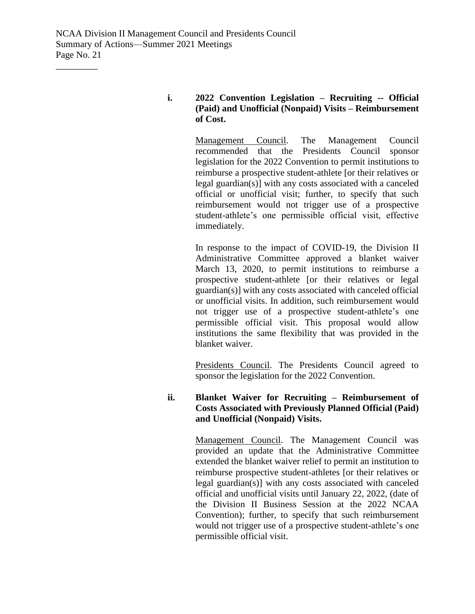\_\_\_\_\_\_\_\_\_

# **i. 2022 Convention Legislation – Recruiting -- Official (Paid) and Unofficial (Nonpaid) Visits – Reimbursement of Cost.**

Management Council. The Management Council recommended that the Presidents Council sponsor legislation for the 2022 Convention to permit institutions to reimburse a prospective student-athlete [or their relatives or legal guardian(s)] with any costs associated with a canceled official or unofficial visit; further, to specify that such reimbursement would not trigger use of a prospective student-athlete's one permissible official visit, effective immediately.

In response to the impact of COVID-19, the Division II Administrative Committee approved a blanket waiver March 13, 2020, to permit institutions to reimburse a prospective student-athlete [or their relatives or legal guardian(s)] with any costs associated with canceled official or unofficial visits. In addition, such reimbursement would not trigger use of a prospective student-athlete's one permissible official visit. This proposal would allow institutions the same flexibility that was provided in the blanket waiver.

Presidents Council. The Presidents Council agreed to sponsor the legislation for the 2022 Convention.

# **ii. Blanket Waiver for Recruiting – Reimbursement of Costs Associated with Previously Planned Official (Paid) and Unofficial (Nonpaid) Visits.**

Management Council. The Management Council was provided an update that the Administrative Committee extended the blanket waiver relief to permit an institution to reimburse prospective student-athletes [or their relatives or legal guardian(s)] with any costs associated with canceled official and unofficial visits until January 22, 2022, (date of the Division II Business Session at the 2022 NCAA Convention); further, to specify that such reimbursement would not trigger use of a prospective student-athlete's one permissible official visit.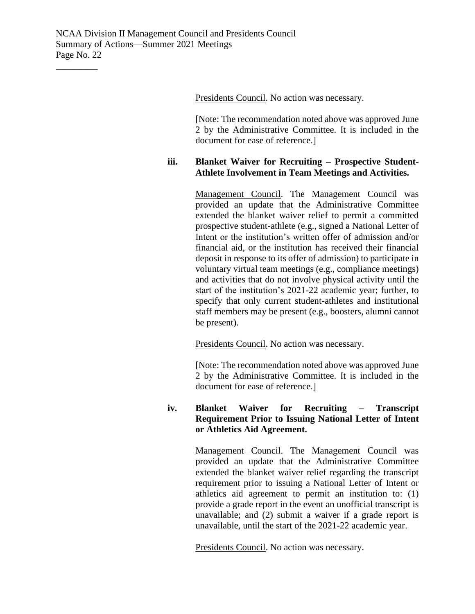Presidents Council. No action was necessary.

[Note: The recommendation noted above was approved June 2 by the Administrative Committee. It is included in the document for ease of reference.]

## **iii. Blanket Waiver for Recruiting – Prospective Student-Athlete Involvement in Team Meetings and Activities.**

Management Council. The Management Council was provided an update that the Administrative Committee extended the blanket waiver relief to permit a committed prospective student-athlete (e.g., signed a National Letter of Intent or the institution's written offer of admission and/or financial aid, or the institution has received their financial deposit in response to its offer of admission) to participate in voluntary virtual team meetings (e.g., compliance meetings) and activities that do not involve physical activity until the start of the institution's 2021-22 academic year; further, to specify that only current student-athletes and institutional staff members may be present (e.g., boosters, alumni cannot be present).

Presidents Council. No action was necessary.

[Note: The recommendation noted above was approved June 2 by the Administrative Committee. It is included in the document for ease of reference.]

# **iv. Blanket Waiver for Recruiting – Transcript Requirement Prior to Issuing National Letter of Intent or Athletics Aid Agreement.**

Management Council. The Management Council was provided an update that the Administrative Committee extended the blanket waiver relief regarding the transcript requirement prior to issuing a National Letter of Intent or athletics aid agreement to permit an institution to: (1) provide a grade report in the event an unofficial transcript is unavailable; and (2) submit a waiver if a grade report is unavailable, until the start of the 2021-22 academic year.

Presidents Council. No action was necessary.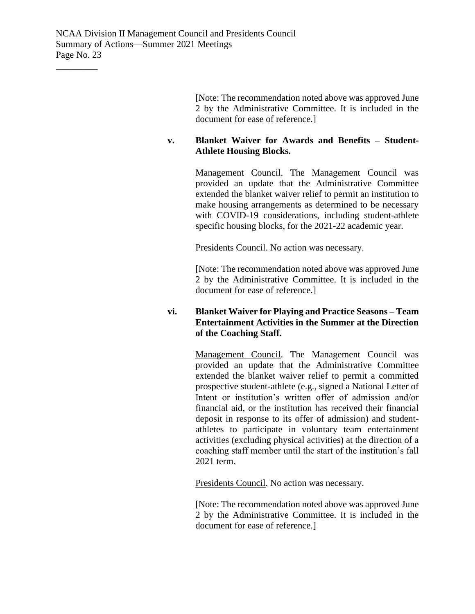[Note: The recommendation noted above was approved June 2 by the Administrative Committee. It is included in the document for ease of reference.]

# **v. Blanket Waiver for Awards and Benefits – Student-Athlete Housing Blocks.**

Management Council. The Management Council was provided an update that the Administrative Committee extended the blanket waiver relief to permit an institution to make housing arrangements as determined to be necessary with COVID-19 considerations, including student-athlete specific housing blocks, for the 2021-22 academic year.

Presidents Council. No action was necessary.

[Note: The recommendation noted above was approved June 2 by the Administrative Committee. It is included in the document for ease of reference.]

# **vi. Blanket Waiver for Playing and Practice Seasons – Team Entertainment Activities in the Summer at the Direction of the Coaching Staff.**

Management Council. The Management Council was provided an update that the Administrative Committee extended the blanket waiver relief to permit a committed prospective student-athlete (e.g., signed a National Letter of Intent or institution's written offer of admission and/or financial aid, or the institution has received their financial deposit in response to its offer of admission) and studentathletes to participate in voluntary team entertainment activities (excluding physical activities) at the direction of a coaching staff member until the start of the institution's fall 2021 term.

Presidents Council. No action was necessary.

[Note: The recommendation noted above was approved June 2 by the Administrative Committee. It is included in the document for ease of reference.]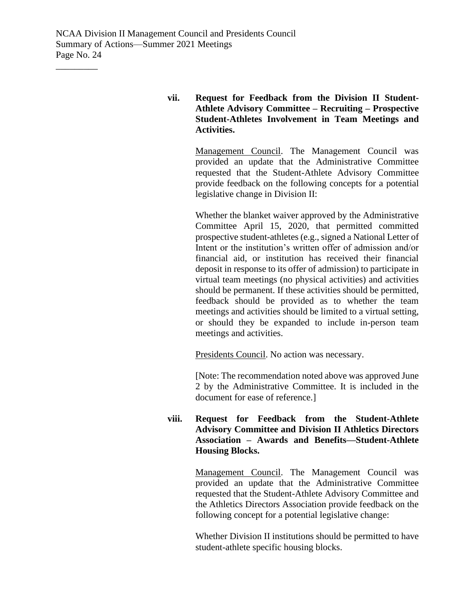# **vii. Request for Feedback from the Division II Student-Athlete Advisory Committee – Recruiting – Prospective Student-Athletes Involvement in Team Meetings and Activities.**

Management Council. The Management Council was provided an update that the Administrative Committee requested that the Student-Athlete Advisory Committee provide feedback on the following concepts for a potential legislative change in Division II:

Whether the blanket waiver approved by the Administrative Committee April 15, 2020, that permitted committed prospective student-athletes (e.g., signed a National Letter of Intent or the institution's written offer of admission and/or financial aid, or institution has received their financial deposit in response to its offer of admission) to participate in virtual team meetings (no physical activities) and activities should be permanent. If these activities should be permitted, feedback should be provided as to whether the team meetings and activities should be limited to a virtual setting, or should they be expanded to include in-person team meetings and activities.

Presidents Council. No action was necessary.

[Note: The recommendation noted above was approved June 2 by the Administrative Committee. It is included in the document for ease of reference.]

# **viii. Request for Feedback from the Student-Athlete Advisory Committee and Division II Athletics Directors Association – Awards and Benefits—Student-Athlete Housing Blocks.**

Management Council. The Management Council was provided an update that the Administrative Committee requested that the Student-Athlete Advisory Committee and the Athletics Directors Association provide feedback on the following concept for a potential legislative change:

Whether Division II institutions should be permitted to have student-athlete specific housing blocks.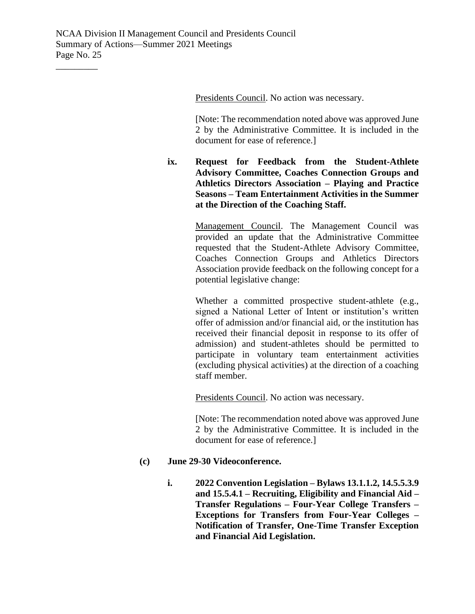Presidents Council. No action was necessary.

[Note: The recommendation noted above was approved June 2 by the Administrative Committee. It is included in the document for ease of reference.]

# **ix. Request for Feedback from the Student-Athlete Advisory Committee, Coaches Connection Groups and Athletics Directors Association – Playing and Practice Seasons – Team Entertainment Activities in the Summer at the Direction of the Coaching Staff.**

Management Council. The Management Council was provided an update that the Administrative Committee requested that the Student-Athlete Advisory Committee, Coaches Connection Groups and Athletics Directors Association provide feedback on the following concept for a potential legislative change:

Whether a committed prospective student-athlete (e.g., signed a National Letter of Intent or institution's written offer of admission and/or financial aid, or the institution has received their financial deposit in response to its offer of admission) and student-athletes should be permitted to participate in voluntary team entertainment activities (excluding physical activities) at the direction of a coaching staff member.

Presidents Council. No action was necessary.

[Note: The recommendation noted above was approved June 2 by the Administrative Committee. It is included in the document for ease of reference.]

## **(c) June 29-30 Videoconference.**

**i. 2022 Convention Legislation – Bylaws 13.1.1.2, 14.5.5.3.9 and 15.5.4.1 – Recruiting, Eligibility and Financial Aid – Transfer Regulations – Four-Year College Transfers – Exceptions for Transfers from Four-Year Colleges – Notification of Transfer, One-Time Transfer Exception and Financial Aid Legislation.**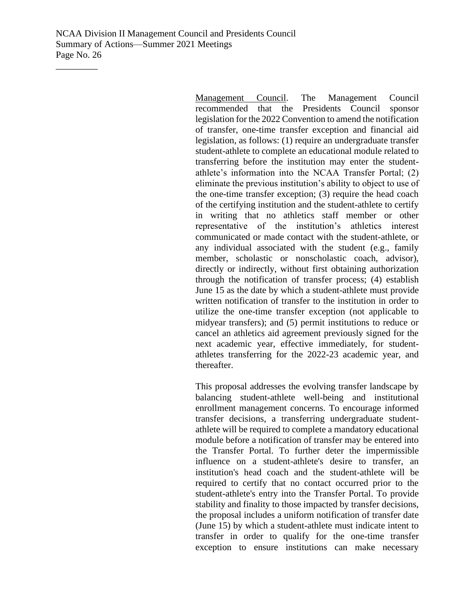\_\_\_\_\_\_\_\_\_

Management Council. The Management Council recommended that the Presidents Council sponsor legislation for the 2022 Convention to amend the notification of transfer, one-time transfer exception and financial aid legislation, as follows: (1) require an undergraduate transfer student-athlete to complete an educational module related to transferring before the institution may enter the studentathlete's information into the NCAA Transfer Portal; (2) eliminate the previous institution's ability to object to use of the one-time transfer exception; (3) require the head coach of the certifying institution and the student-athlete to certify in writing that no athletics staff member or other representative of the institution's athletics interest communicated or made contact with the student-athlete, or any individual associated with the student (e.g., family member, scholastic or nonscholastic coach, advisor), directly or indirectly, without first obtaining authorization through the notification of transfer process; (4) establish June 15 as the date by which a student-athlete must provide written notification of transfer to the institution in order to utilize the one-time transfer exception (not applicable to midyear transfers); and (5) permit institutions to reduce or cancel an athletics aid agreement previously signed for the next academic year, effective immediately, for studentathletes transferring for the 2022-23 academic year, and thereafter.

This proposal addresses the evolving transfer landscape by balancing student-athlete well-being and institutional enrollment management concerns. To encourage informed transfer decisions, a transferring undergraduate studentathlete will be required to complete a mandatory educational module before a notification of transfer may be entered into the Transfer Portal. To further deter the impermissible influence on a student-athlete's desire to transfer, an institution's head coach and the student-athlete will be required to certify that no contact occurred prior to the student-athlete's entry into the Transfer Portal. To provide stability and finality to those impacted by transfer decisions, the proposal includes a uniform notification of transfer date (June 15) by which a student-athlete must indicate intent to transfer in order to qualify for the one-time transfer exception to ensure institutions can make necessary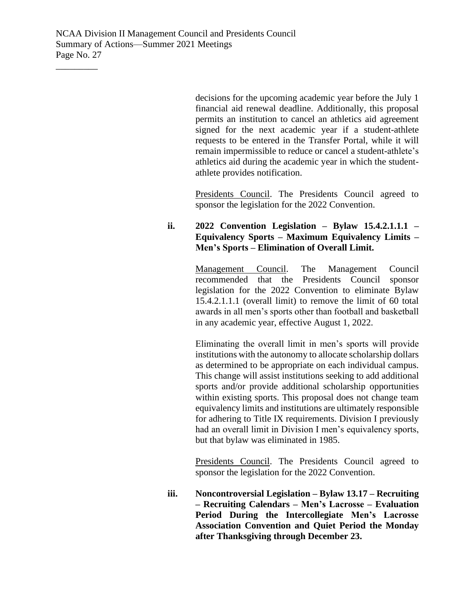\_\_\_\_\_\_\_\_\_

decisions for the upcoming academic year before the July 1 financial aid renewal deadline. Additionally, this proposal permits an institution to cancel an athletics aid agreement signed for the next academic year if a student-athlete requests to be entered in the Transfer Portal, while it will remain impermissible to reduce or cancel a student-athlete's athletics aid during the academic year in which the studentathlete provides notification.

Presidents Council. The Presidents Council agreed to sponsor the legislation for the 2022 Convention.

# **ii. 2022 Convention Legislation – Bylaw 15.4.2.1.1.1 – Equivalency Sports – Maximum Equivalency Limits – Men's Sports – Elimination of Overall Limit.**

Management Council. The Management Council recommended that the Presidents Council sponsor legislation for the 2022 Convention to eliminate Bylaw 15.4.2.1.1.1 (overall limit) to remove the limit of 60 total awards in all men's sports other than football and basketball in any academic year, effective August 1, 2022.

Eliminating the overall limit in men's sports will provide institutions with the autonomy to allocate scholarship dollars as determined to be appropriate on each individual campus. This change will assist institutions seeking to add additional sports and/or provide additional scholarship opportunities within existing sports. This proposal does not change team equivalency limits and institutions are ultimately responsible for adhering to Title IX requirements. Division I previously had an overall limit in Division I men's equivalency sports, but that bylaw was eliminated in 1985.

Presidents Council. The Presidents Council agreed to sponsor the legislation for the 2022 Convention.

**iii. Noncontroversial Legislation – Bylaw 13.17 – Recruiting – Recruiting Calendars – Men's Lacrosse – Evaluation Period During the Intercollegiate Men's Lacrosse Association Convention and Quiet Period the Monday after Thanksgiving through December 23.**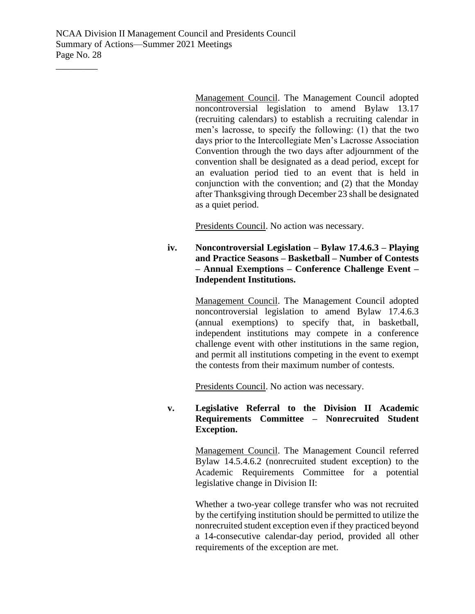\_\_\_\_\_\_\_\_\_

Management Council. The Management Council adopted noncontroversial legislation to amend Bylaw 13.17 (recruiting calendars) to establish a recruiting calendar in men's lacrosse, to specify the following: (1) that the two days prior to the Intercollegiate Men's Lacrosse Association Convention through the two days after adjournment of the convention shall be designated as a dead period, except for an evaluation period tied to an event that is held in conjunction with the convention; and (2) that the Monday after Thanksgiving through December 23 shall be designated as a quiet period.

Presidents Council. No action was necessary.

**iv. Noncontroversial Legislation – Bylaw 17.4.6.3 – Playing and Practice Seasons – Basketball – Number of Contests – Annual Exemptions – Conference Challenge Event – Independent Institutions.**

> Management Council. The Management Council adopted noncontroversial legislation to amend Bylaw 17.4.6.3 (annual exemptions) to specify that, in basketball, independent institutions may compete in a conference challenge event with other institutions in the same region, and permit all institutions competing in the event to exempt the contests from their maximum number of contests.

Presidents Council. No action was necessary.

# **v. Legislative Referral to the Division II Academic Requirements Committee – Nonrecruited Student Exception.**

Management Council. The Management Council referred Bylaw 14.5.4.6.2 (nonrecruited student exception) to the Academic Requirements Committee for a potential legislative change in Division II:

Whether a two-year college transfer who was not recruited by the certifying institution should be permitted to utilize the nonrecruited student exception even if they practiced beyond a 14-consecutive calendar-day period, provided all other requirements of the exception are met.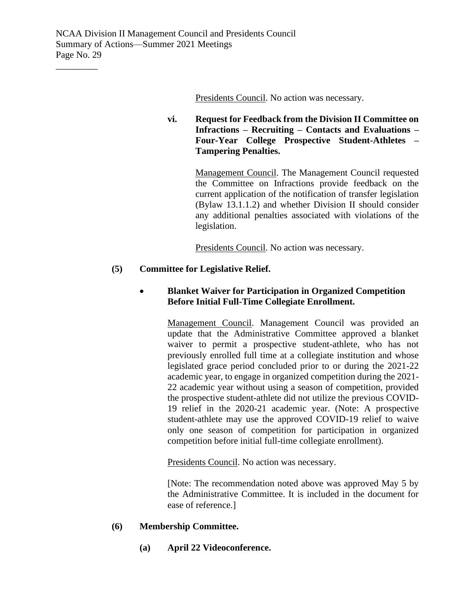Presidents Council. No action was necessary.

# **vi. Request for Feedback from the Division II Committee on Infractions – Recruiting – Contacts and Evaluations – Four-Year College Prospective Student-Athletes – Tampering Penalties.**

Management Council. The Management Council requested the Committee on Infractions provide feedback on the current application of the notification of transfer legislation (Bylaw 13.1.1.2) and whether Division II should consider any additional penalties associated with violations of the legislation.

Presidents Council. No action was necessary.

# **(5) Committee for Legislative Relief.**

# • **Blanket Waiver for Participation in Organized Competition Before Initial Full-Time Collegiate Enrollment.**

Management Council. Management Council was provided an update that the Administrative Committee approved a blanket waiver to permit a prospective student-athlete, who has not previously enrolled full time at a collegiate institution and whose legislated grace period concluded prior to or during the 2021-22 academic year, to engage in organized competition during the 2021- 22 academic year without using a season of competition, provided the prospective student-athlete did not utilize the previous COVID-19 relief in the 2020-21 academic year. (Note: A prospective student-athlete may use the approved COVID-19 relief to waive only one season of competition for participation in organized competition before initial full-time collegiate enrollment).

Presidents Council. No action was necessary.

[Note: The recommendation noted above was approved May 5 by the Administrative Committee. It is included in the document for ease of reference.]

#### **(6) Membership Committee.**

**(a) April 22 Videoconference.**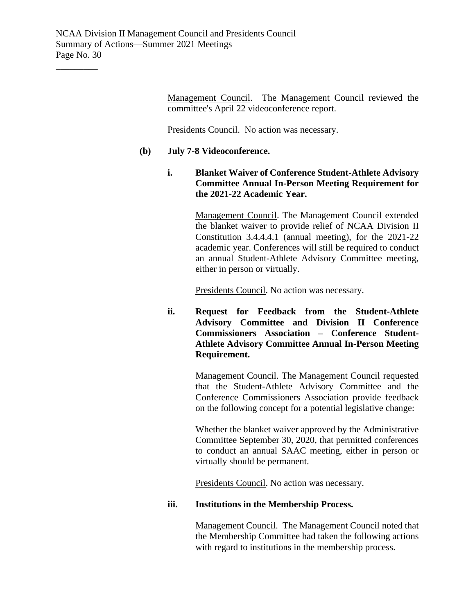Management Council. The Management Council reviewed the committee's April 22 videoconference report.

Presidents Council. No action was necessary.

# **(b) July 7-8 Videoconference.**

**i. Blanket Waiver of Conference Student-Athlete Advisory Committee Annual In-Person Meeting Requirement for the 2021-22 Academic Year.**

> Management Council. The Management Council extended the blanket waiver to provide relief of NCAA Division II Constitution 3.4.4.4.1 (annual meeting), for the 2021-22 academic year. Conferences will still be required to conduct an annual Student-Athlete Advisory Committee meeting, either in person or virtually.

Presidents Council. No action was necessary.

**ii. Request for Feedback from the Student-Athlete Advisory Committee and Division II Conference Commissioners Association – Conference Student-Athlete Advisory Committee Annual In-Person Meeting Requirement.**

> Management Council. The Management Council requested that the Student-Athlete Advisory Committee and the Conference Commissioners Association provide feedback on the following concept for a potential legislative change:

> Whether the blanket waiver approved by the Administrative Committee September 30, 2020, that permitted conferences to conduct an annual SAAC meeting, either in person or virtually should be permanent.

Presidents Council. No action was necessary.

#### **iii. Institutions in the Membership Process.**

Management Council. The Management Council noted that the Membership Committee had taken the following actions with regard to institutions in the membership process.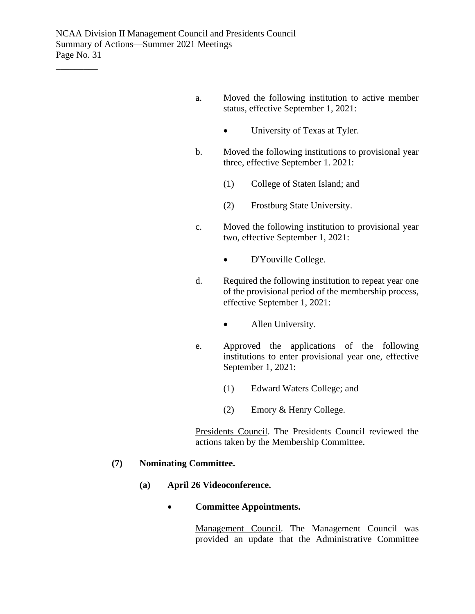- a. Moved the following institution to active member status, effective September 1, 2021:
	- University of Texas at Tyler.
- b. Moved the following institutions to provisional year three, effective September 1. 2021:
	- (1) College of Staten Island; and
	- (2) Frostburg State University.
- c. Moved the following institution to provisional year two, effective September 1, 2021:
	- D'Youville College.
- d. Required the following institution to repeat year one of the provisional period of the membership process, effective September 1, 2021:
	- Allen University.
- e. Approved the applications of the following institutions to enter provisional year one, effective September 1, 2021:
	- (1) Edward Waters College; and
	- (2) Emory & Henry College.

Presidents Council. The Presidents Council reviewed the actions taken by the Membership Committee.

#### **(7) Nominating Committee.**

**(a) April 26 Videoconference.**

#### • **Committee Appointments.**

Management Council. The Management Council was provided an update that the Administrative Committee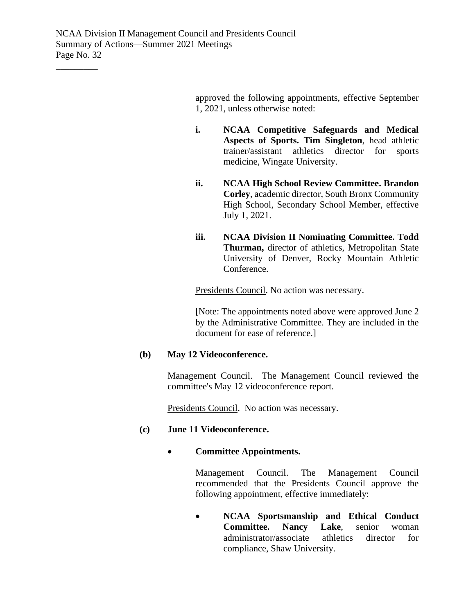approved the following appointments, effective September 1, 2021, unless otherwise noted:

- **i. NCAA Competitive Safeguards and Medical Aspects of Sports. Tim Singleton**, head athletic trainer/assistant athletics director for sports medicine, Wingate University.
- **ii. NCAA High School Review Committee. Brandon Corley**, academic director, South Bronx Community High School, Secondary School Member, effective July 1, 2021.
- **iii. NCAA Division II Nominating Committee. Todd Thurman,** director of athletics, Metropolitan State University of Denver, Rocky Mountain Athletic Conference.

Presidents Council. No action was necessary.

[Note: The appointments noted above were approved June 2 by the Administrative Committee. They are included in the document for ease of reference.]

# **(b) May 12 Videoconference.**

Management Council. The Management Council reviewed the committee's May 12 videoconference report.

Presidents Council. No action was necessary.

#### **(c) June 11 Videoconference.**

#### • **Committee Appointments.**

Management Council. The Management Council recommended that the Presidents Council approve the following appointment, effective immediately:

• **NCAA Sportsmanship and Ethical Conduct Committee. Nancy Lake**, senior woman administrator/associate athletics director for compliance, Shaw University.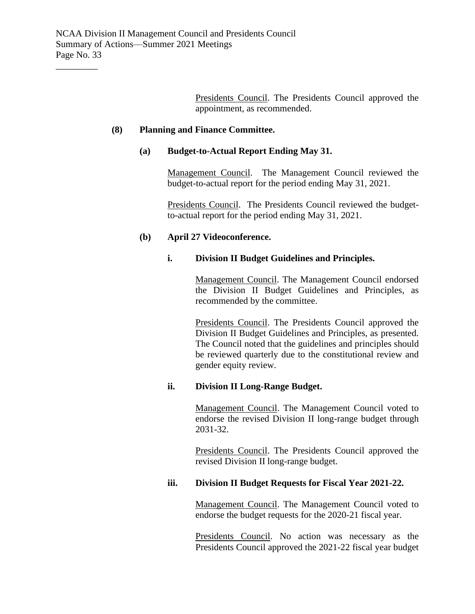Presidents Council. The Presidents Council approved the appointment, as recommended.

## **(8) Planning and Finance Committee.**

## **(a) Budget-to-Actual Report Ending May 31.**

Management Council. The Management Council reviewed the budget-to-actual report for the period ending May 31, 2021.

Presidents Council. The Presidents Council reviewed the budgetto-actual report for the period ending May 31, 2021.

# **(b) April 27 Videoconference.**

# **i. Division II Budget Guidelines and Principles.**

Management Council. The Management Council endorsed the Division II Budget Guidelines and Principles, as recommended by the committee.

Presidents Council. The Presidents Council approved the Division II Budget Guidelines and Principles, as presented. The Council noted that the guidelines and principles should be reviewed quarterly due to the constitutional review and gender equity review.

# **ii. Division II Long-Range Budget.**

Management Council. The Management Council voted to endorse the revised Division II long-range budget through 2031-32.

Presidents Council. The Presidents Council approved the revised Division II long-range budget.

# **iii. Division II Budget Requests for Fiscal Year 2021-22.**

Management Council. The Management Council voted to endorse the budget requests for the 2020-21 fiscal year.

Presidents Council. No action was necessary as the Presidents Council approved the 2021-22 fiscal year budget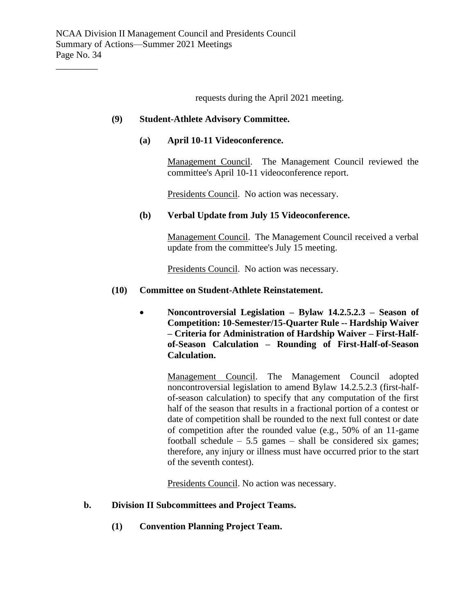requests during the April 2021 meeting.

#### **(9) Student-Athlete Advisory Committee.**

#### **(a) April 10-11 Videoconference.**

Management Council. The Management Council reviewed the committee's April 10-11 videoconference report.

Presidents Council. No action was necessary.

# **(b) Verbal Update from July 15 Videoconference.**

Management Council. The Management Council received a verbal update from the committee's July 15 meeting.

Presidents Council. No action was necessary.

#### **(10) Committee on Student-Athlete Reinstatement.**

• **Noncontroversial Legislation – Bylaw 14.2.5.2.3 – Season of Competition: 10-Semester/15-Quarter Rule -- Hardship Waiver – Criteria for Administration of Hardship Waiver – First-Halfof-Season Calculation – Rounding of First-Half-of-Season Calculation.**

> Management Council. The Management Council adopted noncontroversial legislation to amend Bylaw 14.2.5.2.3 (first-halfof-season calculation) to specify that any computation of the first half of the season that results in a fractional portion of a contest or date of competition shall be rounded to the next full contest or date of competition after the rounded value (e.g., 50% of an 11-game football schedule  $-5.5$  games  $-$  shall be considered six games; therefore, any injury or illness must have occurred prior to the start of the seventh contest).

Presidents Council. No action was necessary.

#### **b. Division II Subcommittees and Project Teams.**

**(1) Convention Planning Project Team.**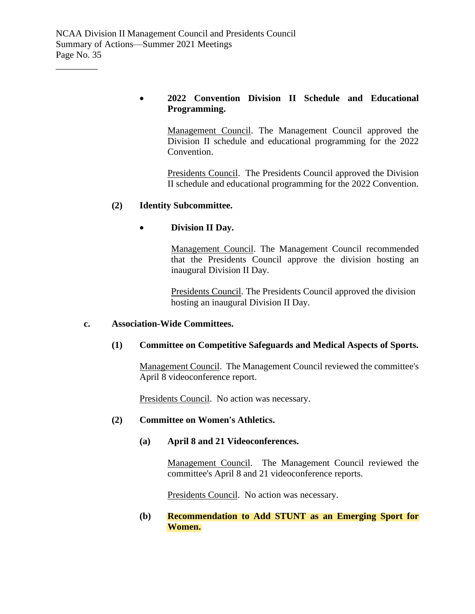# • **2022 Convention Division II Schedule and Educational Programming.**

Management Council. The Management Council approved the Division II schedule and educational programming for the 2022 Convention.

Presidents Council. The Presidents Council approved the Division II schedule and educational programming for the 2022 Convention.

# **(2) Identity Subcommittee.**

# • **Division II Day.**

Management Council. The Management Council recommended that the Presidents Council approve the division hosting an inaugural Division II Day.

Presidents Council. The Presidents Council approved the division hosting an inaugural Division II Day.

## **c. Association-Wide Committees.**

## **(1) Committee on Competitive Safeguards and Medical Aspects of Sports.**

Management Council. The Management Council reviewed the committee's April 8 videoconference report.

Presidents Council. No action was necessary.

#### **(2) Committee on Women's Athletics.**

## **(a) April 8 and 21 Videoconferences.**

Management Council. The Management Council reviewed the committee's April 8 and 21 videoconference reports.

Presidents Council. No action was necessary.

## **(b) Recommendation to Add STUNT as an Emerging Sport for Women.**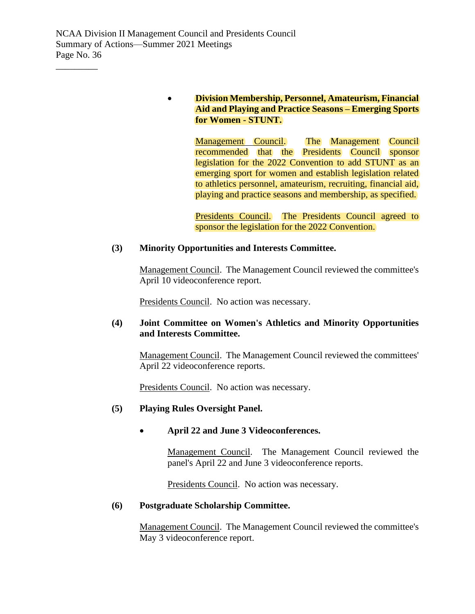\_\_\_\_\_\_\_\_\_

# • **Division Membership, Personnel, Amateurism, Financial Aid and Playing and Practice Seasons – Emerging Sports for Women - STUNT.**

Management Council. The Management Council recommended that the Presidents Council sponsor legislation for the 2022 Convention to add STUNT as an emerging sport for women and establish legislation related to athletics personnel, amateurism, recruiting, financial aid, playing and practice seasons and membership, as specified.

Presidents Council. The Presidents Council agreed to sponsor the legislation for the 2022 Convention.

#### **(3) Minority Opportunities and Interests Committee.**

Management Council. The Management Council reviewed the committee's April 10 videoconference report.

Presidents Council. No action was necessary.

# **(4) Joint Committee on Women's Athletics and Minority Opportunities and Interests Committee.**

Management Council. The Management Council reviewed the committees' April 22 videoconference reports.

Presidents Council. No action was necessary.

#### **(5) Playing Rules Oversight Panel.**

# • **April 22 and June 3 Videoconferences.**

Management Council. The Management Council reviewed the panel's April 22 and June 3 videoconference reports.

Presidents Council. No action was necessary.

#### **(6) Postgraduate Scholarship Committee.**

Management Council. The Management Council reviewed the committee's May 3 videoconference report.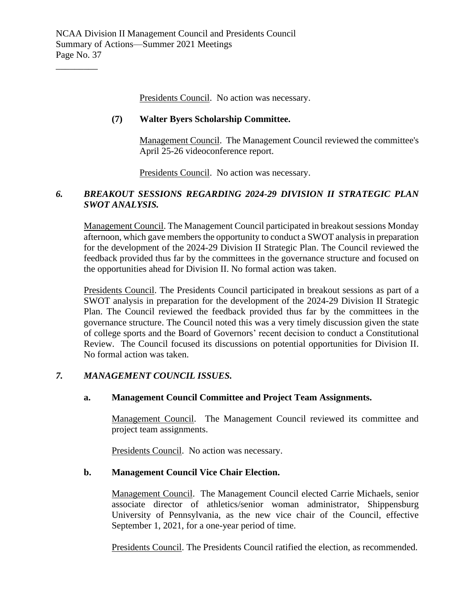Presidents Council. No action was necessary.

# **(7) Walter Byers Scholarship Committee.**

Management Council. The Management Council reviewed the committee's April 25-26 videoconference report.

Presidents Council. No action was necessary.

# *6. BREAKOUT SESSIONS REGARDING 2024-29 DIVISION II STRATEGIC PLAN SWOT ANALYSIS.*

Management Council. The Management Council participated in breakout sessions Monday afternoon, which gave members the opportunity to conduct a SWOT analysis in preparation for the development of the 2024-29 Division II Strategic Plan. The Council reviewed the feedback provided thus far by the committees in the governance structure and focused on the opportunities ahead for Division II. No formal action was taken.

Presidents Council. The Presidents Council participated in breakout sessions as part of a SWOT analysis in preparation for the development of the 2024-29 Division II Strategic Plan. The Council reviewed the feedback provided thus far by the committees in the governance structure. The Council noted this was a very timely discussion given the state of college sports and the Board of Governors' recent decision to conduct a Constitutional Review. The Council focused its discussions on potential opportunities for Division II. No formal action was taken.

# *7. MANAGEMENT COUNCIL ISSUES.*

#### **a. Management Council Committee and Project Team Assignments.**

Management Council. The Management Council reviewed its committee and project team assignments.

Presidents Council. No action was necessary.

#### **b. Management Council Vice Chair Election.**

Management Council. The Management Council elected Carrie Michaels, senior associate director of athletics/senior woman administrator, Shippensburg University of Pennsylvania, as the new vice chair of the Council, effective September 1, 2021, for a one-year period of time.

Presidents Council. The Presidents Council ratified the election, as recommended.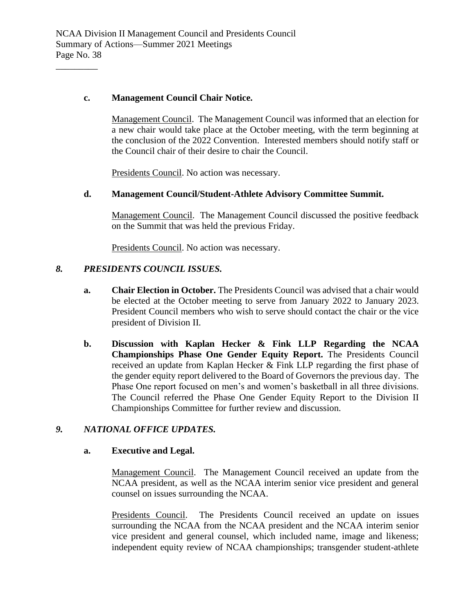## **c. Management Council Chair Notice.**

\_\_\_\_\_\_\_\_\_

Management Council. The Management Council was informed that an election for a new chair would take place at the October meeting, with the term beginning at the conclusion of the 2022 Convention. Interested members should notify staff or the Council chair of their desire to chair the Council.

Presidents Council. No action was necessary.

#### **d. Management Council/Student-Athlete Advisory Committee Summit.**

Management Council. The Management Council discussed the positive feedback on the Summit that was held the previous Friday.

Presidents Council. No action was necessary.

# *8. PRESIDENTS COUNCIL ISSUES.*

- **a. Chair Election in October.** The Presidents Council was advised that a chair would be elected at the October meeting to serve from January 2022 to January 2023. President Council members who wish to serve should contact the chair or the vice president of Division II.
- **b. Discussion with Kaplan Hecker & Fink LLP Regarding the NCAA Championships Phase One Gender Equity Report.** The Presidents Council received an update from Kaplan Hecker & Fink LLP regarding the first phase of the gender equity report delivered to the Board of Governors the previous day. The Phase One report focused on men's and women's basketball in all three divisions. The Council referred the Phase One Gender Equity Report to the Division II Championships Committee for further review and discussion.

#### *9. NATIONAL OFFICE UPDATES.*

#### **a. Executive and Legal.**

Management Council. The Management Council received an update from the NCAA president, as well as the NCAA interim senior vice president and general counsel on issues surrounding the NCAA.

Presidents Council. The Presidents Council received an update on issues surrounding the NCAA from the NCAA president and the NCAA interim senior vice president and general counsel, which included name, image and likeness; independent equity review of NCAA championships; transgender student-athlete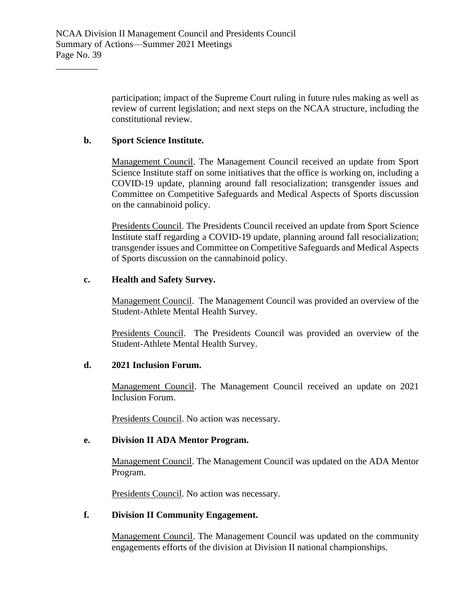participation; impact of the Supreme Court ruling in future rules making as well as review of current legislation; and next steps on the NCAA structure, including the constitutional review.

# **b. Sport Science Institute.**

\_\_\_\_\_\_\_\_\_

Management Council. The Management Council received an update from Sport Science Institute staff on some initiatives that the office is working on, including a COVID-19 update, planning around fall resocialization; transgender issues and Committee on Competitive Safeguards and Medical Aspects of Sports discussion on the cannabinoid policy.

Presidents Council. The Presidents Council received an update from Sport Science Institute staff regarding a COVID-19 update, planning around fall resocialization; transgender issues and Committee on Competitive Safeguards and Medical Aspects of Sports discussion on the cannabinoid policy.

# **c. Health and Safety Survey.**

Management Council. The Management Council was provided an overview of the Student-Athlete Mental Health Survey.

Presidents Council. The Presidents Council was provided an overview of the Student-Athlete Mental Health Survey.

#### **d. 2021 Inclusion Forum.**

Management Council. The Management Council received an update on 2021 Inclusion Forum.

Presidents Council. No action was necessary.

#### **e. Division II ADA Mentor Program.**

Management Council. The Management Council was updated on the ADA Mentor Program.

Presidents Council. No action was necessary.

### **f. Division II Community Engagement.**

Management Council. The Management Council was updated on the community engagements efforts of the division at Division II national championships.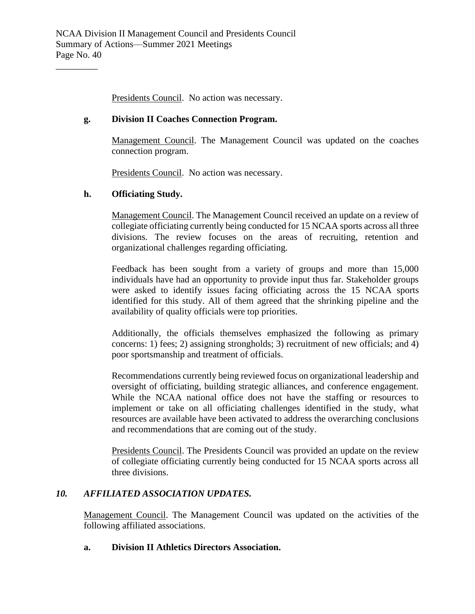Presidents Council. No action was necessary.

# **g. Division II Coaches Connection Program.**

Management Council. The Management Council was updated on the coaches connection program.

Presidents Council. No action was necessary.

# **h. Officiating Study.**

\_\_\_\_\_\_\_\_\_

Management Council. The Management Council received an update on a review of collegiate officiating currently being conducted for 15 NCAA sports across all three divisions. The review focuses on the areas of recruiting, retention and organizational challenges regarding officiating.

Feedback has been sought from a variety of groups and more than 15,000 individuals have had an opportunity to provide input thus far. Stakeholder groups were asked to identify issues facing officiating across the 15 NCAA sports identified for this study. All of them agreed that the shrinking pipeline and the availability of quality officials were top priorities.

Additionally, the officials themselves emphasized the following as primary concerns: 1) fees; 2) assigning strongholds; 3) recruitment of new officials; and 4) poor sportsmanship and treatment of officials.

Recommendations currently being reviewed focus on organizational leadership and oversight of officiating, building strategic alliances, and conference engagement. While the NCAA national office does not have the staffing or resources to implement or take on all officiating challenges identified in the study, what resources are available have been activated to address the overarching conclusions and recommendations that are coming out of the study.

Presidents Council. The Presidents Council was provided an update on the review of collegiate officiating currently being conducted for 15 NCAA sports across all three divisions.

# *10. AFFILIATED ASSOCIATION UPDATES.*

Management Council. The Management Council was updated on the activities of the following affiliated associations.

#### **a. Division II Athletics Directors Association.**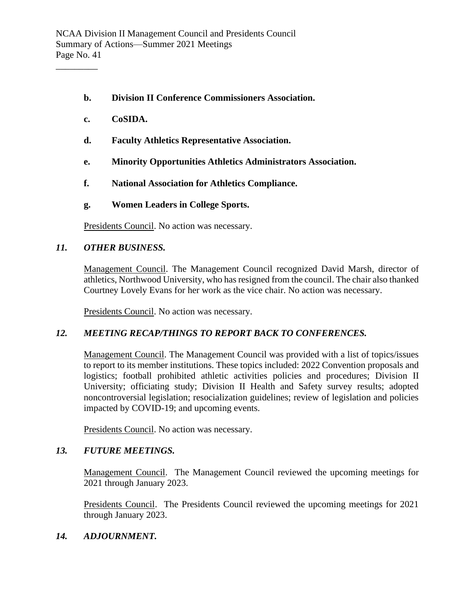- **b. Division II Conference Commissioners Association.**
- **c. CoSIDA.**

- **d. Faculty Athletics Representative Association.**
- **e. Minority Opportunities Athletics Administrators Association.**
- **f. National Association for Athletics Compliance.**
- **g. Women Leaders in College Sports.**

Presidents Council. No action was necessary.

## *11. OTHER BUSINESS.*

Management Council. The Management Council recognized David Marsh, director of athletics, Northwood University, who has resigned from the council. The chair also thanked Courtney Lovely Evans for her work as the vice chair. No action was necessary.

Presidents Council. No action was necessary.

#### *12. MEETING RECAP/THINGS TO REPORT BACK TO CONFERENCES.*

Management Council. The Management Council was provided with a list of topics/issues to report to its member institutions. These topics included: 2022 Convention proposals and logistics; football prohibited athletic activities policies and procedures; Division II University; officiating study; Division II Health and Safety survey results; adopted noncontroversial legislation; resocialization guidelines; review of legislation and policies impacted by COVID-19; and upcoming events.

Presidents Council. No action was necessary.

#### *13. FUTURE MEETINGS.*

Management Council. The Management Council reviewed the upcoming meetings for 2021 through January 2023.

Presidents Council. The Presidents Council reviewed the upcoming meetings for 2021 through January 2023.

#### *14. ADJOURNMENT.*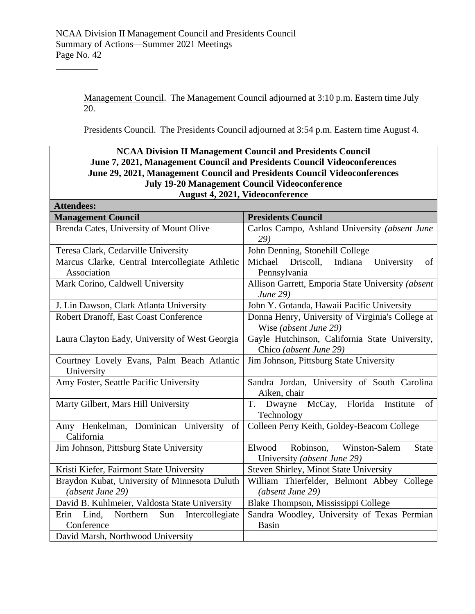$\overline{\phantom{a}}$ 

Management Council. The Management Council adjourned at 3:10 p.m. Eastern time July 20.

Presidents Council. The Presidents Council adjourned at 3:54 p.m. Eastern time August 4.

 $\overline{\phantom{a}}$ 

| <b>NCAA Division II Management Council and Presidents Council</b><br>June 7, 2021, Management Council and Presidents Council Videoconferences |                                                                                     |
|-----------------------------------------------------------------------------------------------------------------------------------------------|-------------------------------------------------------------------------------------|
| June 29, 2021, Management Council and Presidents Council Videoconferences                                                                     |                                                                                     |
| July 19-20 Management Council Videoconference                                                                                                 |                                                                                     |
| August 4, 2021, Videoconference                                                                                                               |                                                                                     |
| <b>Attendees:</b>                                                                                                                             | <b>Presidents Council</b>                                                           |
| <b>Management Council</b><br>Brenda Cates, University of Mount Olive                                                                          | Carlos Campo, Ashland University (absent June                                       |
|                                                                                                                                               | 29)                                                                                 |
| Teresa Clark, Cedarville University                                                                                                           | John Denning, Stonehill College                                                     |
| Marcus Clarke, Central Intercollegiate Athletic<br>Association                                                                                | University<br>Michael<br>Driscoll,<br>Indiana<br>of<br>Pennsylvania                 |
| Mark Corino, Caldwell University                                                                                                              | Allison Garrett, Emporia State University (absent<br>June 29)                       |
| J. Lin Dawson, Clark Atlanta University                                                                                                       | John Y. Gotanda, Hawaii Pacific University                                          |
| Robert Dranoff, East Coast Conference                                                                                                         | Donna Henry, University of Virginia's College at<br>Wise (absent June 29)           |
| Laura Clayton Eady, University of West Georgia                                                                                                | Gayle Hutchinson, California State University,<br>Chico (absent June 29)            |
| Courtney Lovely Evans, Palm Beach Atlantic<br>University                                                                                      | Jim Johnson, Pittsburg State University                                             |
| Amy Foster, Seattle Pacific University                                                                                                        | Sandra Jordan, University of South Carolina<br>Aiken, chair                         |
| Marty Gilbert, Mars Hill University                                                                                                           | McCay, Florida<br>T. Dwayne<br>Institute<br>of<br>Technology                        |
| Amy Henkelman, Dominican University of<br>California                                                                                          | Colleen Perry Keith, Goldey-Beacom College                                          |
| Jim Johnson, Pittsburg State University                                                                                                       | Elwood<br>Robinson,<br>Winston-Salem<br><b>State</b><br>University (absent June 29) |
| Kristi Kiefer, Fairmont State University                                                                                                      | Steven Shirley, Minot State University                                              |
| Braydon Kubat, University of Minnesota Duluth<br>(absent June 29)                                                                             | William Thierfelder, Belmont Abbey College<br>(absent June 29)                      |
| David B. Kuhlmeier, Valdosta State University                                                                                                 | Blake Thompson, Mississippi College                                                 |
| Lind,<br>Sun<br>Northern<br>Intercollegiate<br>Erin<br>Conference                                                                             | Sandra Woodley, University of Texas Permian<br><b>Basin</b>                         |
| David Marsh, Northwood University                                                                                                             |                                                                                     |